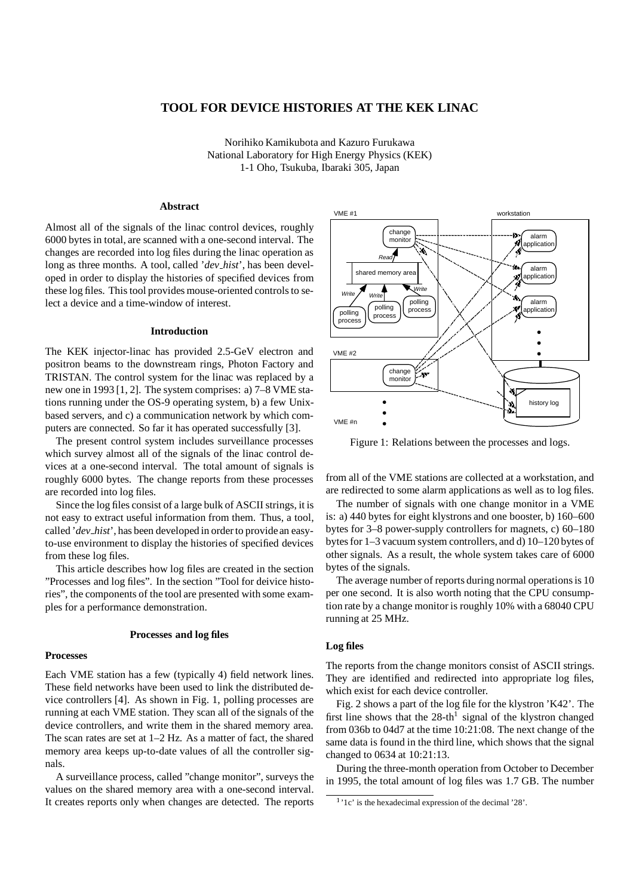# **TOOL FOR DEVICE HISTORIES AT THE KEK LINAC**

Norihiko Kamikubota and Kazuro Furukawa National Laboratory for High Energy Physics (KEK) 1-1 Oho, Tsukuba, Ibaraki 305, Japan

# **Abstract**

Almost all of the signals of the linac control devices, roughly 6000 bytes in total, are scanned with a one-second interval. The changes are recorded into log files during the linac operation as long as three months. A tool, called '*dev hist*', has been developed in order to display the histories of specified devices from these log files. This tool provides mouse-oriented controls to select a device and a time-window of interest.

#### **Introduction**

The KEK injector-linac has provided 2.5-GeV electron and positron beams to the downstream rings, Photon Factory and TRISTAN. The control system for the linac was replaced by a new one in 1993 [1, 2]. The system comprises: a) 7–8 VME stations running under the OS-9 operating system, b) a few Unixbased servers, and c) a communication network by which computers are connected. So far it has operated successfully [3].

The present control system includes surveillance processes which survey almost all of the signals of the linac control devices at a one-second interval. The total amount of signals is roughly 6000 bytes. The change reports from these processes are recorded into log files.

Since the log files consist of a large bulk of ASCII strings, it is not easy to extract useful information from them. Thus, a tool, called '*dev\_hist*', has been developed in order to provide an easyto-use environment to display the histories of specified devices from these log files.

This article describes how log files are created in the section "Processes and log files". In the section "Tool for deivice histories", the components of the tool are presented with some examples for a performance demonstration.

#### **Processes and log files**

### **Processes**

Each VME station has a few (typically 4) field network lines. These field networks have been used to link the distributed device controllers [4]. As shown in Fig. 1, polling processes are running at each VME station. They scan all of the signals of the device controllers, and write them in the shared memory area. The scan rates are set at 1–2 Hz. As a matter of fact, the shared memory area keeps up-to-date values of all the controller signals.

A surveillance process, called "change monitor", surveys the values on the shared memory area with a one-second interval. It creates reports only when changes are detected. The reports



Figure 1: Relations between the processes and logs.

from all of the VME stations are collected at a workstation, and are redirected to some alarm applications as well as to log files.

The number of signals with one change monitor in a VME is: a) 440 bytes for eight klystrons and one booster, b) 160–600 bytes for 3–8 power-supply controllers for magnets, c) 60–180 bytes for 1–3 vacuum system controllers, and d) 10–120 bytes of other signals. As a result, the whole system takes care of 6000 bytes of the signals.

The average number of reports during normal operations is 10 per one second. It is also worth noting that the CPU consumption rate by a change monitor is roughly 10% with a 68040 CPU running at 25 MHz.

# **Log files**

The reports from the change monitors consist of ASCII strings. They are identified and redirected into appropriate log files, which exist for each device controller.

Fig. 2 shows a part of the log file for the klystron 'K42'. The first line shows that the  $28$ -th<sup>1</sup> signal of the klystron changed from 036b to 04d7 at the time 10:21:08. The next change of the same data is found in the third line, which shows that the signal changed to 0634 at 10:21:13.

During the three-month operation from October to December in 1995, the total amount of log files was 1.7 GB. The number

<sup>1</sup> '1c' is the hexadecimal expression of the decimal '28'.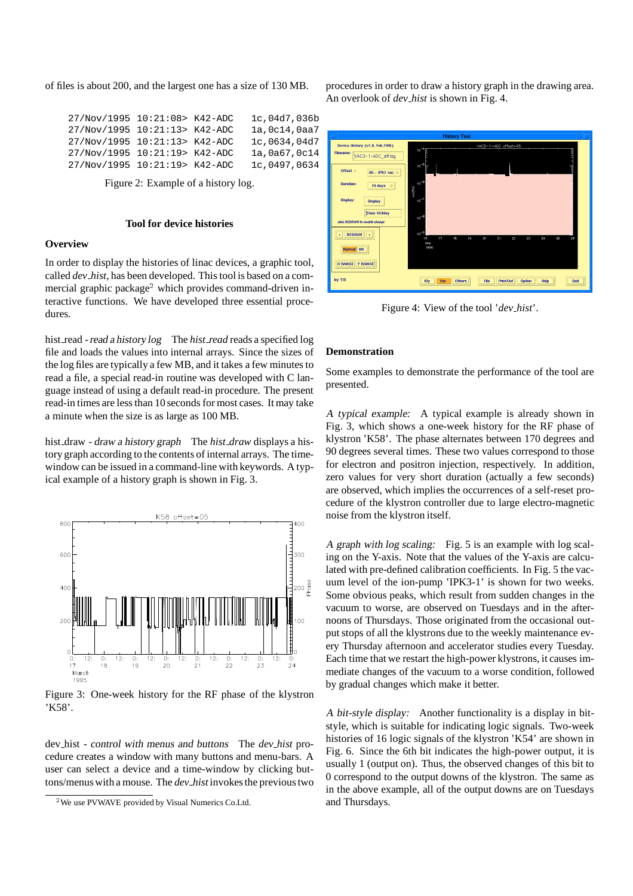of files is about 200, and the largest one has a size of 130 MB.

27/Nov/1995 10:21:08> K42-ADC 1c,04d7,036b 27/Nov/1995 10:21:13> K42-ADC 1a,0c14,0aa7 27/Nov/1995 10:21:13> K42-ADC 1c,0634,04d7 27/Nov/1995 10:21:19> K42-ADC 1a,0a67,0c14 27/Nov/1995 10:21:19> K42-ADC 1c,0497,0634

Figure 2: Example of a history log.

### **Tool for device histories**

#### **Overview**

In order to display the histories of linac devices, a graphic tool, called *dev hist*, has been developed. This tool is based on a commercial graphic package<sup>2</sup> which provides command-driven interactive functions. We have developed three essential procedures.

hist read - read <sup>a</sup> history log The *hist read* reads a specified log file and loads the values into internal arrays. Since the sizes of the log files are typically a few MB, and it takes a few minutes to read a file, a special read-in routine was developed with C language instead of using a default read-in procedure. The present read-in times are less than 10 seconds for most cases. It may take a minute when the size is as large as 100 MB.

hist draw - draw <sup>a</sup> history graph The *hist draw* displays a history graph according to the contents of internal arrays. The timewindow can be issued in a command-line with keywords. A typical example of a history graph is shown in Fig. 3.



Figure 3: One-week history for the RF phase of the klystron 'K58'.

dev hist - control with menus and buttons The *dev hist* procedure creates a window with many buttons and menu-bars. A user can select a device and a time-window by clicking buttons/menus with a mouse. The *dev hist* invokes the previous two procedures in order to draw a history graph in the drawing area. An overlook of *dev hist* is shown in Fig. 4.



Figure 4: View of the tool '*dev hist*'.

#### **Demonstration**

Some examples to demonstrate the performance of the tool are presented.

<sup>A</sup> typical example: A typical example is already shown in Fig. 3, which shows a one-week history for the RF phase of klystron 'K58'. The phase alternates between 170 degrees and 90 degrees several times. These two values correspond to those for electron and positron injection, respectively. In addition, zero values for very short duration (actually a few seconds) are observed, which implies the occurrences of a self-reset procedure of the klystron controller due to large electro-magnetic noise from the klystron itself.

<sup>A</sup> graph with log scaling: Fig. 5 is an example with log scaling on the Y-axis. Note that the values of the Y-axis are calculated with pre-defined calibration coefficients. In Fig. 5 the vacuum level of the ion-pump 'IPK3-1' is shown for two weeks. Some obvious peaks, which result from sudden changes in the vacuum to worse, are observed on Tuesdays and in the afternoons of Thursdays. Those originated from the occasional output stops of all the klystrons due to the weekly maintenance every Thursday afternoon and accelerator studies every Tuesday. Each time that we restart the high-power klystrons, it causes immediate changes of the vacuum to a worse condition, followed by gradual changes which make it better.

<sup>A</sup> bit-style display: Another functionality is a display in bitstyle, which is suitable for indicating logic signals. Two-week histories of 16 logic signals of the klystron 'K54' are shown in Fig. 6. Since the 6th bit indicates the high-power output, it is usually 1 (output on). Thus, the observed changes of this bit to 0 correspond to the output downs of the klystron. The same as in the above example, all of the output downs are on Tuesdays and Thursdays.

<sup>&</sup>lt;sup>2</sup>We use PVWAVE provided by Visual Numerics Co.Ltd.